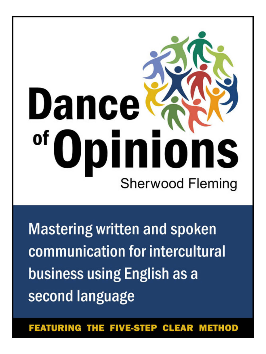# Dance oinions of Sherwood Fleming

**Mastering written and spoken** communication for intercultural business using English as a second language

**FEATURING THE FIVE-STEP** CL EAR **METHOD**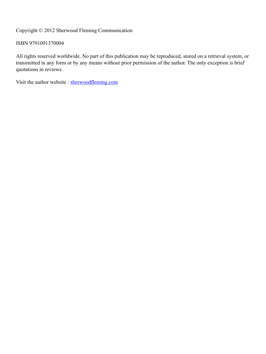Copyright © 2012 Sherwood Fleming Communication

ISBN 9791091370004

All rights reserved worldwide. No part of this publication may be reproduced, stored on a retrieval system, or transmitted in any form or by any means without prior permission of the author. The only exception is brief quotations in reviews.

Visit the author website : sherwoodfleming.com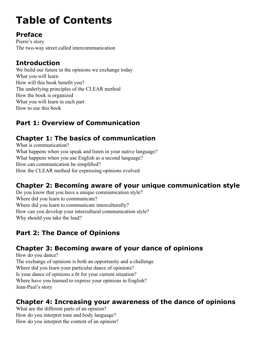# **Table of Contents**

#### **Preface**

Pierre's story The two-way street called intercommunication

#### **Introduction**

We build our future in the opinions we exchange today What you will learn How will this book benefit you? The underlying principles of the CLEAR method How the book is organized What you will learn in each part How to use this book

# **Part 1: Overview of Communication**

# **Chapter 1: The basics of communication**

What is communication? What happens when you speak and listen in your native language? What happens when you use English as a second language? How can communication be simplified? How the CLEAR method for expressing opinions evolved

# **Chapter 2: Becoming aware of your unique communication style**

Do you know that you have a unique communication style? Where did you learn to communicate? Where did you learn to communicate interculturally? How can you develop your intercultural communication style? Why should you take the lead?

# **Part 2: The Dance of Opinions**

# **Chapter 3: Becoming aware of your dance of opinions**

How do you dance? The exchange of opinions is both an opportunity and a challenge Where did you learn your particular dance of opinions? Is your dance of opinions a fit for your current situation? Where have you learned to express your opinions in English? Jean-Paul's story

#### **Chapter 4: Increasing your awareness of the dance of opinions**

What are the different parts of an opinion? How do you interpret tone and body language? How do you interpret the content of an opinion?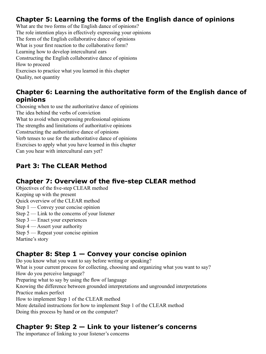# **Chapter 5: Learning the forms of the English dance of opinions**

What are the two forms of the English dance of opinions? The role intention plays in effectively expressing your opinions The form of the English collaborative dance of opinions What is your first reaction to the collaborative form? Learning how to develop intercultural ears Constructing the English collaborative dance of opinions How to proceed Exercises to practice what you learned in this chapter Quality, not quantity

#### **Chapter 6: Learning the authoritative form of the English dance of opinions**

Choosing when to use the authoritative dance of opinions The idea behind the verbs of conviction What to avoid when expressing professional opinions The strengths and limitations of authoritative opinions Constructing the authoritative dance of opinions Verb tenses to use for the authoritative dance of opinions Exercises to apply what you have learned in this chapter Can you hear with intercultural ears yet?

# **Part 3: The CLEAR Method**

#### **Chapter 7: Overview of the five-step CLEAR method**

Objectives of the five-step CLEAR method

Keeping up with the present

Quick overview of the CLEAR method

- Step 1 Convey your concise opinion
- Step  $2 -$  Link to the concerns of your listener
- Step 3 Enact your experiences
- Step 4 Assert your authority
- Step 5 Repeat your concise opinion

Martine's story

# **Chapter 8: Step 1 — Convey your concise opinion**

Do you know what you want to say before writing or speaking?

What is your current process for collecting, choosing and organizing what you want to say? How do you perceive language?

Preparing what to say by using the flow of language

Knowing the difference between grounded interpretations and ungrounded interpretations Practice makes perfect

How to implement Step 1 of the CLEAR method

More detailed instructions for how to implement Step 1 of the CLEAR method

Doing this process by hand or on the computer?

# **Chapter 9: Step 2 — Link to your listener's concerns**

The importance of linking to your listener's concerns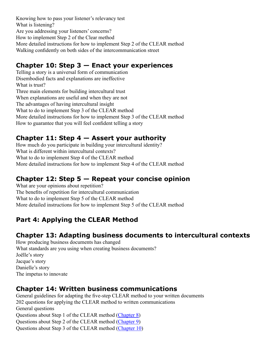Knowing how to pass your listener's relevancy test What is listening? Are you addressing your listeners' concerns? How to implement Step 2 of the Clear method More detailed instructions for how to implement Step 2 of the CLEAR method Walking confidently on both sides of the intercommunication street

#### **Chapter 10: Step 3 — Enact your experiences**

Telling a story is a universal form of communication Disembodied facts and explanations are ineffective What is trust? Three main elements for building intercultural trust When explanations are useful and when they are not The advantages of having intercultural insight What to do to implement Step 3 of the CLEAR method More detailed instructions for how to implement Step 3 of the CLEAR method How to guarantee that you will feel confident telling a story

#### **Chapter 11: Step 4 — Assert your authority**

How much do you participate in building your intercultural identity? What is different within intercultural contexts? What to do to implement Step 4 of the CLEAR method More detailed instructions for how to implement Step 4 of the CLEAR method

# **Chapter 12: Step 5 — Repeat your concise opinion**

What are your opinions about repetition? The benefits of repetition for intercultural communication What to do to implement Step 5 of the CLEAR method More detailed instructions for how to implement Step 5 of the CLEAR method

# **Part 4: Applying the CLEAR Method**

# **Chapter 13: Adapting business documents to intercultural contexts**

How producing business documents has changed What standards are you using when creating business documents? Joëlle's story Jacque's story Danielle's story The impetus to innovate

#### **Chapter 14: Written business communications**

General guidelines for adapting the five-step CLEAR method to your written documents 202 questions for applying the CLEAR method to written communications General questions Questions about Step 1 of the CLEAR method (Chapter 8) Questions about Step 2 of the CLEAR method (Chapter 9) Questions about Step 3 of the CLEAR method (Chapter 10)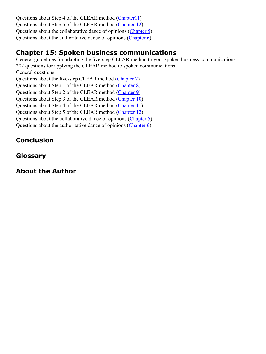Questions about Step 4 of the CLEAR method (Chapter11) Questions about Step 5 of the CLEAR method (Chapter 12) Questions about the collaborative dance of opinions (Chapter 5) Questions about the authoritative dance of opinions (Chapter 6)

#### **Chapter 15: Spoken business communications**

General guidelines for adapting the five-step CLEAR method to your spoken business communications 202 questions for applying the CLEAR method to spoken communications General questions Questions about the five-step CLEAR method (Chapter 7) Questions about Step 1 of the CLEAR method (Chapter 8) Questions about Step 2 of the CLEAR method (Chapter 9) Questions about Step 3 of the CLEAR method (Chapter 10) Questions about Step 4 of the CLEAR method (Chapter 11) Questions about Step 5 of the CLEAR method (Chapter 12) Questions about the collaborative dance of opinions (Chapter 5) Questions about the authoritative dance of opinions (Chapter 6)

# **Conclusion**

#### **Glossary**

# **About the Author**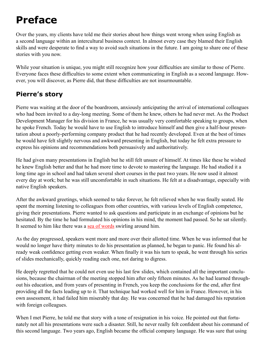# **Preface**

Over the years, my clients have told me their stories about how things went wrong when using English as a second language within an intercultural business context. In almost every case they blamed their English skills and were desperate to find a way to avoid such situations in the future. I am going to share one of these stories with you now.

While your situation is unique, you might still recognize how your difficulties are similar to those of Pierre. Everyone faces these difficulties to some extent when communicating in English as a second language. However, you will discover, as Pierre did, that these difficulties are not insurmountable.

#### **Pierre's story**

Pierre was waiting at the door of the boardroom, anxiously anticipating the arrival of international colleagues who had been invited to a day-long meeting. Some of them he knew, others he had never met. As the Product Development Manager for his division in France, he was usually very comfortable speaking to groups, when he spoke French. Today he would have to use English to introduce himself and then give a half-hour presentation about a poorly-performing company product that he had recently developed. Even at the best of times he would have felt slightly nervous and awkward presenting in English, but today he felt extra pressure to express his opinions and recommendations both persuasively and authoritatively.

He had given many presentations in English but he still felt unsure of himself. At times like these he wished he knew English better and that he had more time to devote to mastering the language. He had studied it a long time ago in school and had taken several short courses in the past two years. He now used it almost every day at work; but he was still uncomfortable in such situations. He felt at a disadvantage, especially with native English speakers.

After the awkward greetings, which seemed to take forever, he felt relieved when he was finally seated. He spent the morning listening to colleagues from other countries, with various levels of English competence, giving their presentations. Pierre wanted to ask questions and participate in an exchange of opinions but he hesitated. By the time he had formulated his opinions in his mind, the moment had passed. So he sat silently. It seemed to him like there was a sea of words swirling around him.

As the day progressed, speakers went more and more over their allotted time. When he was informed that he would no longer have thirty minutes to do his presentation as planned, he began to panic. He found his already weak confidence getting even weaker. When finally it was his turn to speak, he went through his series of slides mechanically, quickly reading each one, not daring to digress.

He deeply regretted that he could not even use his last few slides, which contained all the important conclusions, because the chairman of the meeting stopped him after only fifteen minutes. As he had learned throughout his education, and from years of presenting in French, you keep the conclusions for the end, after first providing all the facts leading up to it. That technique had worked well for him in France. However, in his own assessment, it had failed him miserably that day. He was concerned that he had damaged his reputation with foreign colleagues.

When I met Pierre, he told me that story with a tone of resignation in his voice. He pointed out that fortunately not all his presentations were such a disaster. Still, he never really felt confident about his command of this second language. Two years ago, English became the official company language. He was sure that using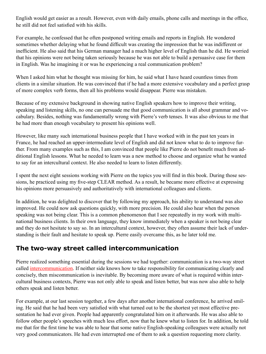English would get easier as a result. However, even with daily emails, phone calls and meetings in the office, he still did not feel satisfied with his skills.

For example, he confessed that he often postponed writing emails and reports in English. He wondered sometimes whether delaying what he found difficult was creating the impression that he was indifferent or inefficient. He also said that his German manager had a much higher level of English than he did. He worried that his opinions were not being taken seriously because he was not able to build a persuasive case for them in English. Was he imagining it or was he experiencing a real communication problem?

When I asked him what he thought was missing for him, he said what I have heard countless times from clients in a similar situation. He was convinced that if he had a more extensive vocabulary and a perfect grasp of more complex verb forms, then all his problems would disappear. Pierre was mistaken.

Because of my extensive background in showing native English speakers how to improve their writing, speaking and listening skills, no one can persuade me that good communication is all about grammar and vocabulary. Besides, nothing was fundamentally wrong with Pierre's verb tenses. It was also obvious to me that he had more than enough vocabulary to present his opinions well.

However, like many such international business people that I have worked with in the past ten years in France, he had reached an upper-intermediate level of English and did not know what to do to improve further. From many examples such as this, I am convinced that people like Pierre do not benefit much from additional English lessons. What he needed to learn was a new method to choose and organize what he wanted to say for an intercultural context. He also needed to learn to listen differently.

I spent the next eight sessions working with Pierre on the topics you will find in this book. During those sessions, he practiced using my five-step CLEAR method. As a result, he became more effective at expressing his opinions more persuasively and authoritatively with international colleagues and clients.

In addition, he was delighted to discover that by following my approach, his ability to understand was also improved. He could now ask questions quickly, with more precision. He could also hear when the person speaking was not being clear. This is a common phenomenon that I see repeatedly in my work with multinational business clients. In their own language, they know immediately when a speaker is not being clear and they do not hesitate to say so. In an intercultural context, however, they often assume their lack of understanding is their fault and hesitate to speak up. Pierre easily overcame this, as he later told me.

#### **The two-way street called intercommunication**

Pierre realized something essential during the sessions we had together: communication is a two-way street called intercommunication. If neither side knows how to take responsibility for communicating clearly and concisely, then miscommunication is inevitable. By becoming more aware of what is required within intercultural business contexts, Pierre was not only able to speak and listen better, but was now also able to help others speak and listen better.

For example, at our last session together, a few days after another international conference, he arrived smiling. He said that he had been very satisfied with what turned out to be the shortest yet most effective presentation he had ever given. People had apparently congratulated him on it afterwards. He was also able to follow other people's speeches with much less effort, now that he knew what to listen for. In addition, he told me that for the first time he was able to hear that some native English-speaking colleagues were actually not very good communicators. He had even interrupted one of them to ask a question requesting more clarity.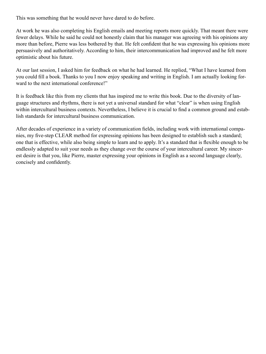This was something that he would never have dared to do before.

At work he was also completing his English emails and meeting reports more quickly. That meant there were fewer delays. While he said he could not honestly claim that his manager was agreeing with his opinions any more than before, Pierre was less bothered by that. He felt confident that he was expressing his opinions more persuasively and authoritatively. According to him, their intercommunication had improved and he felt more optimistic about his future.

At our last session, I asked him for feedback on what he had learned. He replied, "What I have learned from you could fill a book. Thanks to you I now enjoy speaking and writing in English. I am actually looking forward to the next international conference!"

It is feedback like this from my clients that has inspired me to write this book. Due to the diversity of language structures and rhythms, there is not yet a universal standard for what "clear" is when using English within intercultural business contexts. Nevertheless, I believe it is crucial to find a common ground and establish standards for intercultural business communication.

After decades of experience in a variety of communication fields, including work with international companies, my five-step CLEAR method for expressing opinions has been designed to establish such a standard; one that is effective, while also being simple to learn and to apply. It's a standard that is flexible enough to be endlessly adapted to suit your needs as they change over the course of your intercultural career. My sincerest desire is that you, like Pierre, master expressing your opinions in English as a second language clearly, concisely and confidently.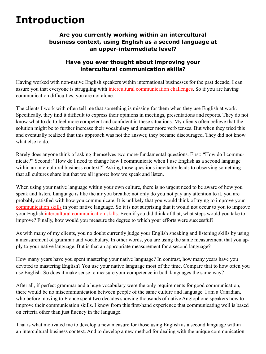# **Introduction**

#### **Are you currently working within an intercultural business context, using English as a second language at an upper-intermediate level?**

#### **Have you ever thought about improving your intercultural communication skills?**

Having worked with non-native English speakers within international businesses for the past decade, I can assure you that everyone is struggling with intercultural communication challenges. So if you are having communication difficulties, you are not alone.

The clients I work with often tell me that something is missing for them when they use English at work. Specifically, they find it difficult to express their opinions in meetings, presentations and reports. They do not know what to do to feel more competent and confident in these situations. My clients often believe that the solution might be to further increase their vocabulary and master more verb tenses. But when they tried this and eventually realized that this approach was not the answer, they became discouraged. They did not know what else to do.

Rarely does anyone think of asking themselves two more-fundamental questions. First: "How do I communicate?" Second: "How do I need to change how I communicate when I use English as a second language within an intercultural business context?" Asking those questions inevitably leads to observing something that all cultures share but that we all ignore: how we speak and listen.

When using your native language within your own culture, there is no urgent need to be aware of how you speak and listen. Language is like the air you breathe; not only do you not pay any attention to it, you are probably satisfied with how you communicate. It is unlikely that you would think of trying to improve your communication skills in your native language. So it is not surprising that it would not occur to you to improve your English intercultural communication skills. Even if you did think of that, what steps would you take to improve? Finally, how would you measure the degree to which your efforts were successful?

As with many of my clients, you no doubt currently judge your English speaking and listening skills by using a measurement of grammar and vocabulary. In other words, you are using the same measurement that you apply to your native language. But is that an appropriate measurement for a second language?

How many years have you spent mastering your native language? In contrast, how many years have you devoted to mastering English? You use your native language most of the time. Compare that to how often you use English. So does it make sense to measure your competence in both languages the same way?

After all, if perfect grammar and a huge vocabulary were the only requirements for good communication, there would be no miscommunication between people of the same culture and language. I am a Canadian, who before moving to France spent two decades showing thousands of native Anglophone speakers how to improve their communication skills. I know from this first-hand experience that communicating well is based on criteria other than just fluency in the language.

That is what motivated me to develop a new measure for those using English as a second language within an intercultural business context. And to develop a new method for dealing with the unique communication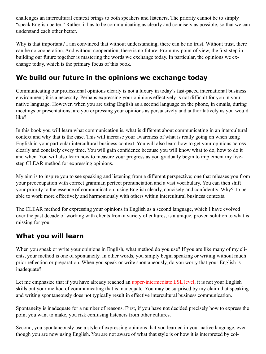challenges an intercultural context brings to both speakers and listeners. The priority cannot be to simply "speak English better." Rather, it has to be communicating as clearly and concisely as possible, so that we can understand each other better.

Why is that important? I am convinced that without understanding, there can be no trust. Without trust, there can be no cooperation. And without cooperation, there is no future. From my point of view, the first step in building our future together is mastering the words we exchange today. In particular, the opinions we exchange today, which is the primary focus of this book.

#### **We build our future in the opinions we exchange today**

Communicating our professional opinions clearly is not a luxury in today's fast-paced international business environment; it is a necessity. Perhaps expressing your opinions effectively is not difficult for you in your native language. However, when you are using English as a second language on the phone, in emails, during meetings or presentations, are you expressing your opinions as persuasively and authoritatively as you would like?

In this book you will learn what communication is, what is different about communicating in an intercultural context and why that is the case. This will increase your awareness of what is really going on when using English in your particular intercultural business context. You will also learn how to get your opinions across clearly and concisely every time. You will gain confidence because you will know what to do, how to do it and when. You will also learn how to measure your progress as you gradually begin to implement my fivestep CLEAR method for expressing opinions.

My aim is to inspire you to see speaking and listening from a different perspective; one that releases you from your preoccupation with correct grammar, perfect pronunciation and a vast vocabulary. You can then shift your priority to the essence of communication: using English clearly, concisely and confidently. Why? To be able to work more effectively and harmoniously with others within intercultural business contexts.

The CLEAR method for expressing your opinions in English as a second language, which I have evolved over the past decade of working with clients from a variety of cultures, is a unique, proven solution to what is missing for you.

#### **What you will learn**

When you speak or write your opinions in English, what method do you use? If you are like many of my clients, your method is one of spontaneity. In other words, you simply begin speaking or writing without much prior reflection or preparation. When you speak or write spontaneously, do you worry that your English is inadequate?

Let me emphasize that if you have already reached an upper-intermediate ESL level, it is not your English skills but your method of communicating that is inadequate. You may be surprised by my claim that speaking and writing spontaneously does not typically result in effective intercultural business communication.

Spontaneity is inadequate for a number of reasons. First, if you have not decided precisely how to express the point you want to make, you risk confusing listeners from other cultures.

Second, you spontaneously use a style of expressing opinions that you learned in your native language, even though you are now using English. You are not aware of what that style is or how it is interpreted by col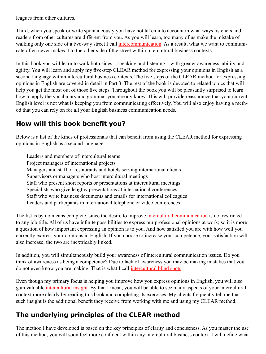leagues from other cultures.

Third, when you speak or write spontaneously you have not taken into account in what ways listeners and readers from other cultures are different from you. As you will learn, too many of us make the mistake of walking only one side of a two-way street I call intercommunication. As a result, what we want to communicate often never makes it to the other side of the street within intercultural business contexts.

In this book you will learn to walk both sides – speaking and listening – with greater awareness, ability and agility. You will learn and apply my five-step CLEAR method for expressing your opinions in English as a second language within intercultural business contexts. The five steps of the CLEAR method for expressing opinions in English are covered in detail in Part 3. The rest of the book is devoted to related topics that will help you get the most out of those five steps. Throughout the book you will be pleasantly surprised to learn how to apply the vocabulary and grammar you already know. This will provide reassurance that your current English level is not what is keeping you from communicating effectively. You will also enjoy having a method that you can rely on for all your English business communication needs.

#### **How will this book benefit you?**

Below is a list of the kinds of professionals that can benefit from using the CLEAR method for expressing opinions in English as a second language.

Leaders and members of intercultural teams Project managers of international projects Managers and staff of restaurants and hotels serving international clients Supervisors or managers who host intercultural meetings Staff who present short reports or presentations at intercultural meetings Specialists who give lengthy presentations at international conferences Staff who write business documents and emails for international colleagues Leaders and participants in international telephone or video conferences

The list is by no means complete, since the desire to improve intercultural communication is not restricted to any job title. All of us have infinite possibilities to express our professional opinions at work; so it is more a question of how important expressing an opinion is to you. And how satisfied you are with how well you currently express your opinions in English. If you choose to increase your competence, your satisfaction will also increase; the two are inextricably linked.

In addition, you will simultaneously build your awareness of intercultural communication issues. Do you think of awareness as being a competence? Due to lack of awareness you may be making mistakes that you do not even know you are making. That is what I call intercultural blind spots.

Even though my primary focus is helping you improve how you express opinions in English, you will also gain valuable intercultural insight. By that I mean, you will be able to see many aspects of your intercultural context more clearly by reading this book and completing its exercises. My clients frequently tell me that such insight is the additional benefit they receive from working with me and using my CLEAR method.

# **The underlying principles of the CLEAR method**

The method I have developed is based on the key principles of clarity and conciseness. As you master the use of this method, you will soon feel more confident within any intercultural business context. I will define what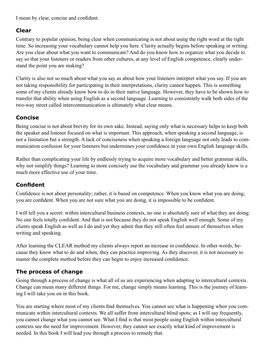I mean by clear, concise and confident.

#### **Clear**

Contrary to popular opinion, being clear when communicating is not about using the right word at the right time. So increasing your vocabulary cannot help you here. Clarity actually begins before speaking or writing. Are you clear about what you want to communicate? And do you know how to organize what you decide to say so that your listeners or readers from other cultures, at any level of English competence, clearly understand the point you are making?

Clarity is also not so much about what you say as about how your listeners interpret what you say. If you are not taking responsibility for participating in their interpretations, clarity cannot happen. This is something some of my clients already know how to do in their native language. However, they have to be shown how to transfer that ability when using English as a second language. Learning to consistently walk both sides of the two-way street called intercommunication is ultimately what clear means.

#### **Concise**

Being concise is not about brevity for its own sake. Instead, saying only what is necessary helps to keep both the speaker and listener focused on what is important. This approach, when speaking a second language, is not a limitation but a strength. A lack of conciseness when speaking a foreign language not only leads to communication confusion for your listeners but undermines your confidence in your own English language skills.

Rather than complicating your life by endlessly trying to acquire more vocabulary and better grammar skills, why not simplify things? Learning to more concisely use the vocabulary and grammar you already know is a much more effective use of your time.

#### **Confident**

Confidence is not about personality; rather, it is based on competence. When you know what you are doing, you are confident. When you are not sure what you are doing, it is impossible to be confident.

I will tell you a secret: within intercultural business contexts, no one is absolutely sure of what they are doing. No one feels totally confident. And that is not because they do not speak English well enough. Some of my clients speak English as well as I do and yet they admit that they still often feel unsure of themselves when writing and speaking.

After learning the CLEAR method my clients always report an increase in confidence. In other words, because they know what to do and when, they can practice improving. As they discover, it is not necessary to master the complete method before they can begin to enjoy increased confidence.

#### **The process of change**

Going through a process of change is what all of us are experiencing when adapting to intercultural contexts. Change can mean many different things. For me, change simply means learning. This is the journey of learning I will take you on in this book.

You are starting where most of my clients find themselves. You cannot see what is happening when you communicate within intercultural contexts. We all suffer from intercultural blind spots; as I will say frequently, you cannot change what you cannot see. What I find is that most people using English within intercultural contexts see the need for improvement. However, they cannot see exactly what kind of improvement is needed. In this book I will lead you through a process to remedy that.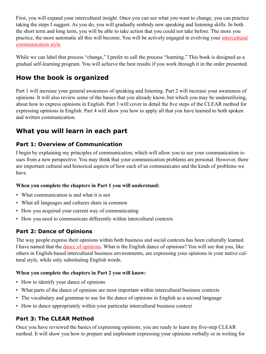First, you will expand your intercultural insight. Once you can see what you want to change, you can practice taking the steps I suggest. As you do, you will gradually embody new speaking and listening skills. In both the short term and long term, you will be able to take action that you could not take before. The more you practice, the more automatic all this will become. You will be actively engaged in evolving your intercultural communication style.

While we can label that process "change," I prefer to call the process "learning." This book is designed as a gradual self-learning program. You will achieve the best results if you work through it in the order presented.

#### **How the book is organized**

Part 1 will increase your general awareness of speaking and listening. Part 2 will increase your awareness of opinions. It will also review some of the basics that you already know, but which you may be underutilizing, about how to express opinions in English. Part 3 will cover in detail the five steps of the CLEAR method for expressing opinions in English. Part 4 will show you how to apply all that you have learned to both spoken and written communication.

# **What you will learn in each part**

#### **Part 1: Overview of Communication**

I begin by explaining my principles of communication, which will allow you to see your communication issues from a new perspective. You may think that your communication problems are personal. However, there are important cultural and historical aspects of how each of us communicates and the kinds of problems we have.

#### **When you complete the chapters in Part 1 you will understand:**

- What communication is and what it is not
- What all languages and cultures share in common
- How you acquired your current way of communicating
- How you need to communicate differently within intercultural contexts

#### **Part 2: Dance of Opinions**

The way people express their opinions within both business and social contexts has been culturally learned. I have named that the dance of opinions. What is the English dance of opinions? You will see that you, like others in English-based intercultural business environments, are expressing your opinions in your native cultural style, while only substituting English words.

#### **When you complete the chapters in Part 2 you will know:**

- How to identify your dance of opinions
- What parts of the dance of opinions are most important within intercultural business contexts
- The vocabulary and grammar to use for the dance of opinions in English as a second language
- How to dance appropriately within your particular intercultural business context

#### **Part 3: The CLEAR Method**

Once you have reviewed the basics of expressing opinions, you are ready to learn my five-step CLEAR method. It will show you how to prepare and implement expressing your opinions verbally or in writing for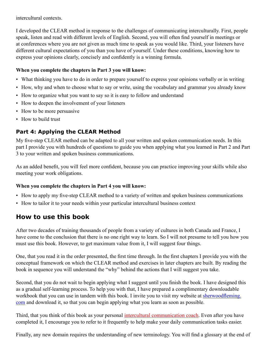intercultural contexts.

I developed the CLEAR method in response to the challenges of communicating interculturally. First, people speak, listen and read with different levels of English. Second, you will often find yourself in meetings or at conferences where you are not given as much time to speak as you would like. Third, your listeners have different cultural expectations of you than you have of yourself. Under these conditions, knowing how to express your opinions clearly, concisely and confidently is a winning formula.

#### **When you complete the chapters in Part 3 you will know:**

- What thinking you have to do in order to prepare yourself to express your opinions verbally or in writing
- How, why and when to choose what to say or write, using the vocabulary and grammar you already know
- How to organize what you want to say so it is easy to follow and understand
- How to deepen the involvement of your listeners
- How to be more persuasive
- How to build trust

#### **Part 4: Applying the CLEAR Method**

My five-step CLEAR method can be adapted to all your written and spoken communication needs. In this part I provide you with hundreds of questions to guide you when applying what you learned in Part 2 and Part 3 to your written and spoken business communications.

As an added benefit, you will feel more confident, because you can practice improving your skills while also meeting your work obligations.

#### **When you complete the chapters in Part 4 you will know:**

- How to apply my five-step CLEAR method to a variety of written and spoken business communications
- How to tailor it to your needs within your particular intercultural business context

#### **How to use this book**

After two decades of training thousands of people from a variety of cultures in both Canada and France, I have come to the conclusion that there is no one right way to learn. So I will not presume to tell you how you must use this book. However, to get maximum value from it, I will suggest four things.

One, that you read it in the order presented, the first time through. In the first chapters I provide you with the conceptual framework on which the CLEAR method and exercises in later chapters are built. By reading the book in sequence you will understand the "why" behind the actions that I will suggest you take.

Second, that you do not wait to begin applying what I suggest until you finish the book. I have designed this as a gradual self-learning process. To help you with that, I have prepared a complimentary downloadable workbook that you can use in tandem with this book. I invite you to visit my website at sherwoodfleming. com and download it, so that you can begin applying what you learn as soon as possible.

Third, that you think of this book as your personal intercultural communication coach. Even after you have completed it, I encourage you to refer to it frequently to help make your daily communication tasks easier.

Finally, any new domain requires the understanding of new terminology. You will find a glossary at the end of